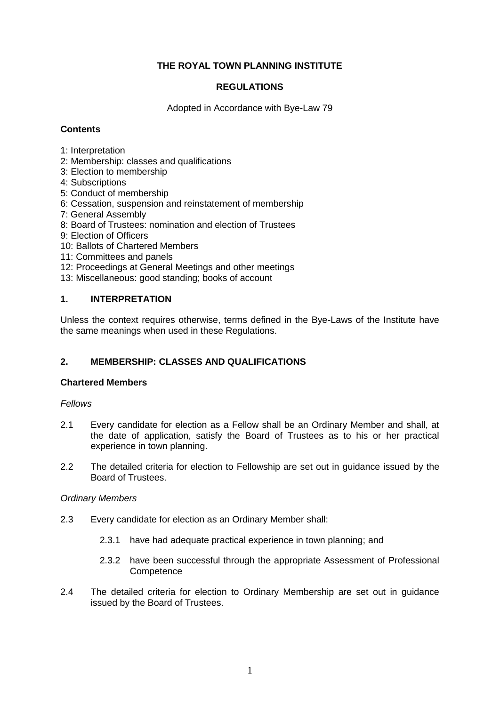# **THE ROYAL TOWN PLANNING INSTITUTE**

## **REGULATIONS**

Adopted in Accordance with Bye-Law 79

## **Contents**

- 1: Interpretation
- 2: Membership: classes and qualifications
- 3: Election to membership
- 4: Subscriptions
- 5: Conduct of membership
- 6: Cessation, suspension and reinstatement of membership
- 7: General Assembly
- 8: Board of Trustees: nomination and election of Trustees
- 9: Election of Officers
- 10: Ballots of Chartered Members
- 11: Committees and panels
- 12: Proceedings at General Meetings and other meetings
- 13: Miscellaneous: good standing; books of account

## **1. INTERPRETATION**

Unless the context requires otherwise, terms defined in the Bye-Laws of the Institute have the same meanings when used in these Regulations.

## **2. MEMBERSHIP: CLASSES AND QUALIFICATIONS**

### **Chartered Members**

### *Fellows*

- 2.1 Every candidate for election as a Fellow shall be an Ordinary Member and shall, at the date of application, satisfy the Board of Trustees as to his or her practical experience in town planning.
- 2.2 The detailed criteria for election to Fellowship are set out in guidance issued by the Board of Trustees.

#### *Ordinary Members*

- 2.3 Every candidate for election as an Ordinary Member shall:
	- 2.3.1 have had adequate practical experience in town planning; and
	- 2.3.2 have been successful through the appropriate Assessment of Professional **Competence**
- 2.4 The detailed criteria for election to Ordinary Membership are set out in guidance issued by the Board of Trustees.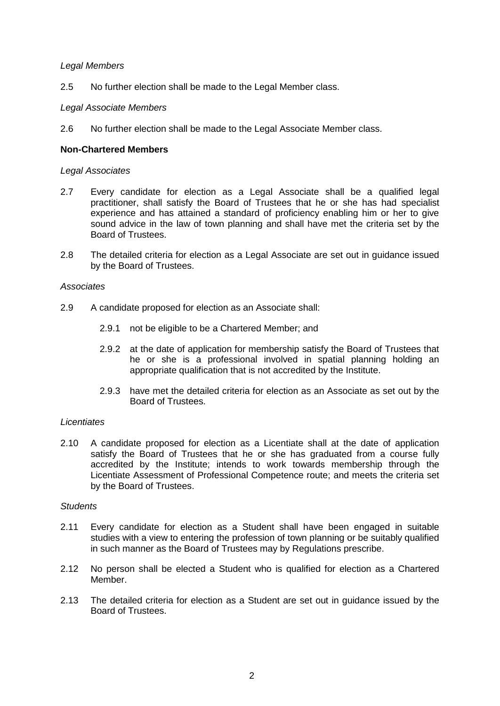### *Legal Members*

2.5 No further election shall be made to the Legal Member class.

### *Legal Associate Members*

2.6 No further election shall be made to the Legal Associate Member class.

### **Non-Chartered Members**

#### *Legal Associates*

- 2.7 Every candidate for election as a Legal Associate shall be a qualified legal practitioner, shall satisfy the Board of Trustees that he or she has had specialist experience and has attained a standard of proficiency enabling him or her to give sound advice in the law of town planning and shall have met the criteria set by the Board of Trustees.
- 2.8 The detailed criteria for election as a Legal Associate are set out in guidance issued by the Board of Trustees.

#### *Associates*

- 2.9 A candidate proposed for election as an Associate shall:
	- 2.9.1 not be eligible to be a Chartered Member; and
	- 2.9.2 at the date of application for membership satisfy the Board of Trustees that he or she is a professional involved in spatial planning holding an appropriate qualification that is not accredited by the Institute.
	- 2.9.3 have met the detailed criteria for election as an Associate as set out by the Board of Trustees.

#### *Licentiates*

2.10 A candidate proposed for election as a Licentiate shall at the date of application satisfy the Board of Trustees that he or she has graduated from a course fully accredited by the Institute; intends to work towards membership through the Licentiate Assessment of Professional Competence route; and meets the criteria set by the Board of Trustees.

#### *Students*

- 2.11 Every candidate for election as a Student shall have been engaged in suitable studies with a view to entering the profession of town planning or be suitably qualified in such manner as the Board of Trustees may by Regulations prescribe.
- 2.12 No person shall be elected a Student who is qualified for election as a Chartered Member.
- 2.13 The detailed criteria for election as a Student are set out in guidance issued by the Board of Trustees.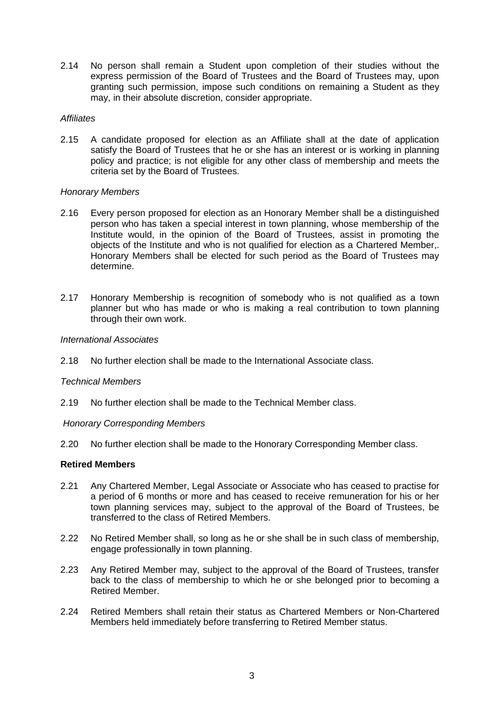2.14 No person shall remain a Student upon completion of their studies without the express permission of the Board of Trustees and the Board of Trustees may, upon granting such permission, impose such conditions on remaining a Student as they may, in their absolute discretion, consider appropriate.

### *Affiliates*

2.15 A candidate proposed for election as an Affiliate shall at the date of application satisfy the Board of Trustees that he or she has an interest or is working in planning policy and practice; is not eligible for any other class of membership and meets the criteria set by the Board of Trustees.

### *Honorary Members*

- 2.16 Every person proposed for election as an Honorary Member shall be a distinguished person who has taken a special interest in town planning, whose membership of the Institute would, in the opinion of the Board of Trustees, assist in promoting the objects of the Institute and who is not qualified for election as a Chartered Member,. Honorary Members shall be elected for such period as the Board of Trustees may determine.
- 2.17 Honorary Membership is recognition of somebody who is not qualified as a town planner but who has made or who is making a real contribution to town planning through their own work.

### *International Associates*

2.18 No further election shall be made to the International Associate class.

#### *Technical Members*

2.19 No further election shall be made to the Technical Member class.

#### *Honorary Corresponding Members*

2.20 No further election shall be made to the Honorary Corresponding Member class.

### **Retired Members**

- 2.21 Any Chartered Member, Legal Associate or Associate who has ceased to practise for a period of 6 months or more and has ceased to receive remuneration for his or her town planning services may, subject to the approval of the Board of Trustees, be transferred to the class of Retired Members.
- 2.22 No Retired Member shall, so long as he or she shall be in such class of membership, engage professionally in town planning.
- 2.23 Any Retired Member may, subject to the approval of the Board of Trustees, transfer back to the class of membership to which he or she belonged prior to becoming a Retired Member.
- 2.24 Retired Members shall retain their status as Chartered Members or Non-Chartered Members held immediately before transferring to Retired Member status.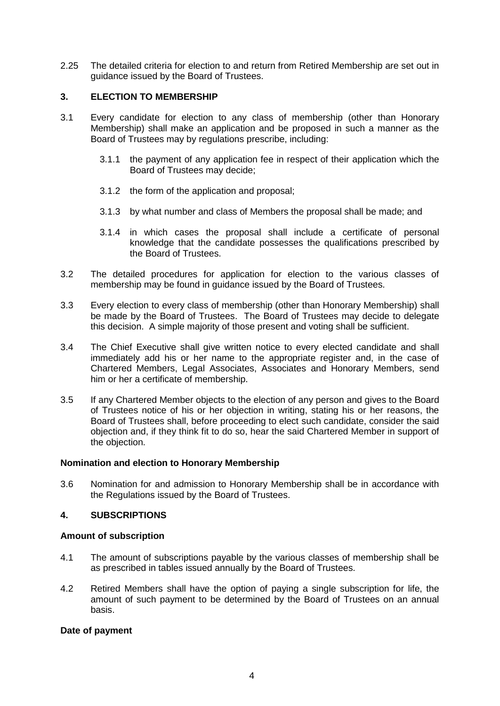2.25 The detailed criteria for election to and return from Retired Membership are set out in guidance issued by the Board of Trustees.

# **3. ELECTION TO MEMBERSHIP**

- 3.1 Every candidate for election to any class of membership (other than Honorary Membership) shall make an application and be proposed in such a manner as the Board of Trustees may by regulations prescribe, including:
	- 3.1.1 the payment of any application fee in respect of their application which the Board of Trustees may decide;
	- 3.1.2 the form of the application and proposal;
	- 3.1.3 by what number and class of Members the proposal shall be made; and
	- 3.1.4 in which cases the proposal shall include a certificate of personal knowledge that the candidate possesses the qualifications prescribed by the Board of Trustees.
- 3.2 The detailed procedures for application for election to the various classes of membership may be found in guidance issued by the Board of Trustees.
- 3.3 Every election to every class of membership (other than Honorary Membership) shall be made by the Board of Trustees. The Board of Trustees may decide to delegate this decision. A simple majority of those present and voting shall be sufficient.
- 3.4 The Chief Executive shall give written notice to every elected candidate and shall immediately add his or her name to the appropriate register and, in the case of Chartered Members, Legal Associates, Associates and Honorary Members, send him or her a certificate of membership.
- 3.5 If any Chartered Member objects to the election of any person and gives to the Board of Trustees notice of his or her objection in writing, stating his or her reasons, the Board of Trustees shall, before proceeding to elect such candidate, consider the said objection and, if they think fit to do so, hear the said Chartered Member in support of the objection.

## **Nomination and election to Honorary Membership**

3.6 Nomination for and admission to Honorary Membership shall be in accordance with the Regulations issued by the Board of Trustees.

## **4. SUBSCRIPTIONS**

## **Amount of subscription**

- 4.1 The amount of subscriptions payable by the various classes of membership shall be as prescribed in tables issued annually by the Board of Trustees.
- 4.2 Retired Members shall have the option of paying a single subscription for life, the amount of such payment to be determined by the Board of Trustees on an annual basis.

## **Date of payment**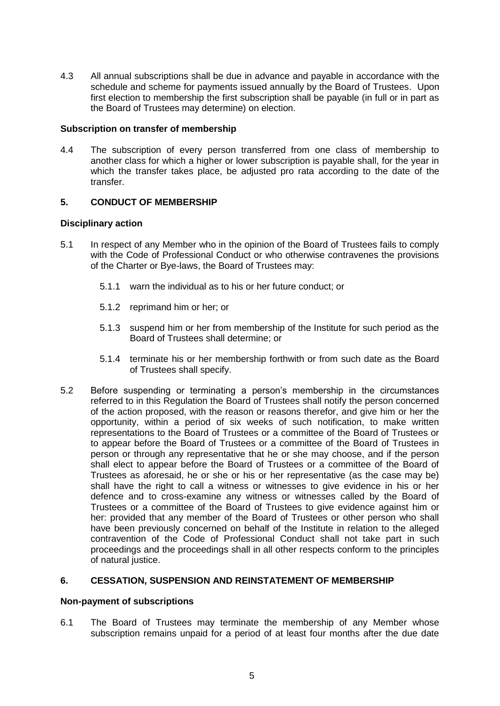4.3 All annual subscriptions shall be due in advance and payable in accordance with the schedule and scheme for payments issued annually by the Board of Trustees. Upon first election to membership the first subscription shall be payable (in full or in part as the Board of Trustees may determine) on election.

## **Subscription on transfer of membership**

4.4 The subscription of every person transferred from one class of membership to another class for which a higher or lower subscription is payable shall, for the year in which the transfer takes place, be adjusted pro rata according to the date of the transfer.

## **5. CONDUCT OF MEMBERSHIP**

### **Disciplinary action**

- 5.1 In respect of any Member who in the opinion of the Board of Trustees fails to comply with the Code of Professional Conduct or who otherwise contravenes the provisions of the Charter or Bye-laws, the Board of Trustees may:
	- 5.1.1 warn the individual as to his or her future conduct; or
	- 5.1.2 reprimand him or her; or
	- 5.1.3 suspend him or her from membership of the Institute for such period as the Board of Trustees shall determine; or
	- 5.1.4 terminate his or her membership forthwith or from such date as the Board of Trustees shall specify.
- 5.2 Before suspending or terminating a person's membership in the circumstances referred to in this Regulation the Board of Trustees shall notify the person concerned of the action proposed, with the reason or reasons therefor, and give him or her the opportunity, within a period of six weeks of such notification, to make written representations to the Board of Trustees or a committee of the Board of Trustees or to appear before the Board of Trustees or a committee of the Board of Trustees in person or through any representative that he or she may choose, and if the person shall elect to appear before the Board of Trustees or a committee of the Board of Trustees as aforesaid, he or she or his or her representative (as the case may be) shall have the right to call a witness or witnesses to give evidence in his or her defence and to cross-examine any witness or witnesses called by the Board of Trustees or a committee of the Board of Trustees to give evidence against him or her: provided that any member of the Board of Trustees or other person who shall have been previously concerned on behalf of the Institute in relation to the alleged contravention of the Code of Professional Conduct shall not take part in such proceedings and the proceedings shall in all other respects conform to the principles of natural justice.

#### **6. CESSATION, SUSPENSION AND REINSTATEMENT OF MEMBERSHIP**

#### **Non-payment of subscriptions**

6.1 The Board of Trustees may terminate the membership of any Member whose subscription remains unpaid for a period of at least four months after the due date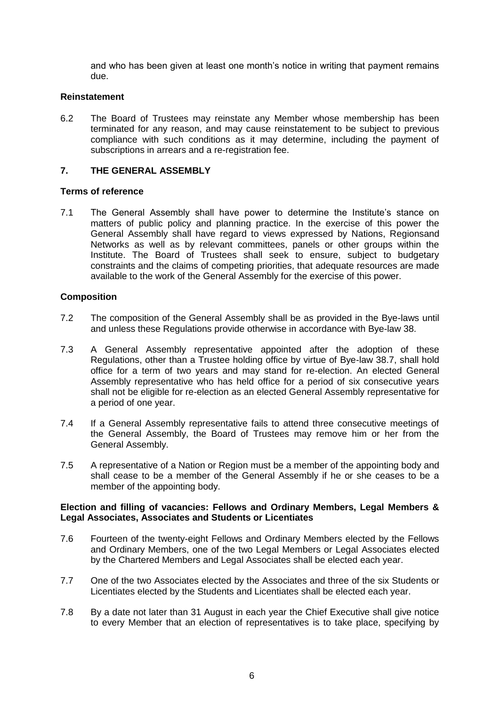and who has been given at least one month's notice in writing that payment remains due.

### **Reinstatement**

6.2 The Board of Trustees may reinstate any Member whose membership has been terminated for any reason, and may cause reinstatement to be subject to previous compliance with such conditions as it may determine, including the payment of subscriptions in arrears and a re-registration fee.

## **7. THE GENERAL ASSEMBLY**

## **Terms of reference**

7.1 The General Assembly shall have power to determine the Institute's stance on matters of public policy and planning practice. In the exercise of this power the General Assembly shall have regard to views expressed by Nations, Regionsand Networks as well as by relevant committees, panels or other groups within the Institute. The Board of Trustees shall seek to ensure, subject to budgetary constraints and the claims of competing priorities, that adequate resources are made available to the work of the General Assembly for the exercise of this power.

### **Composition**

- 7.2 The composition of the General Assembly shall be as provided in the Bye-laws until and unless these Regulations provide otherwise in accordance with Bye-law 38.
- 7.3 A General Assembly representative appointed after the adoption of these Regulations, other than a Trustee holding office by virtue of Bye-law 38.7, shall hold office for a term of two years and may stand for re-election. An elected General Assembly representative who has held office for a period of six consecutive years shall not be eligible for re-election as an elected General Assembly representative for a period of one year.
- 7.4 If a General Assembly representative fails to attend three consecutive meetings of the General Assembly, the Board of Trustees may remove him or her from the General Assembly.
- 7.5 A representative of a Nation or Region must be a member of the appointing body and shall cease to be a member of the General Assembly if he or she ceases to be a member of the appointing body.

#### **Election and filling of vacancies: Fellows and Ordinary Members, Legal Members & Legal Associates, Associates and Students or Licentiates**

- 7.6 Fourteen of the twenty-eight Fellows and Ordinary Members elected by the Fellows and Ordinary Members, one of the two Legal Members or Legal Associates elected by the Chartered Members and Legal Associates shall be elected each year.
- 7.7 One of the two Associates elected by the Associates and three of the six Students or Licentiates elected by the Students and Licentiates shall be elected each year.
- 7.8 By a date not later than 31 August in each year the Chief Executive shall give notice to every Member that an election of representatives is to take place, specifying by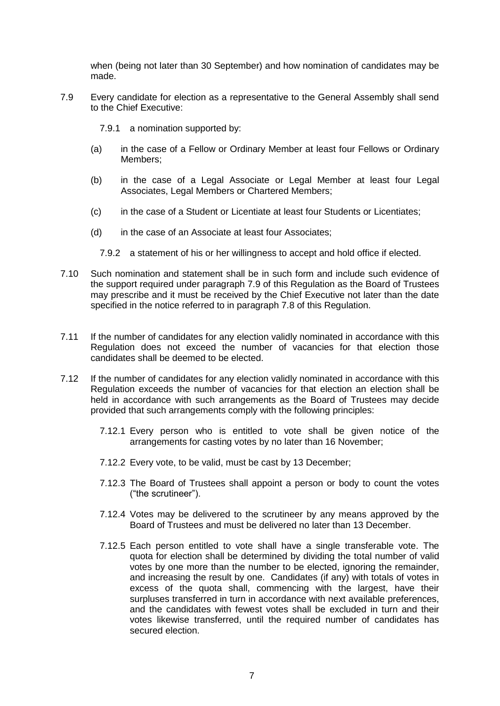when (being not later than 30 September) and how nomination of candidates may be made.

- 7.9 Every candidate for election as a representative to the General Assembly shall send to the Chief Executive:
	- 7.9.1 a nomination supported by:
	- (a) in the case of a Fellow or Ordinary Member at least four Fellows or Ordinary Members;
	- (b) in the case of a Legal Associate or Legal Member at least four Legal Associates, Legal Members or Chartered Members;
	- (c) in the case of a Student or Licentiate at least four Students or Licentiates;
	- (d) in the case of an Associate at least four Associates;
		- 7.9.2 a statement of his or her willingness to accept and hold office if elected.
- 7.10 Such nomination and statement shall be in such form and include such evidence of the support required under paragraph 7.9 of this Regulation as the Board of Trustees may prescribe and it must be received by the Chief Executive not later than the date specified in the notice referred to in paragraph 7.8 of this Regulation.
- 7.11 If the number of candidates for any election validly nominated in accordance with this Regulation does not exceed the number of vacancies for that election those candidates shall be deemed to be elected.
- 7.12 If the number of candidates for any election validly nominated in accordance with this Regulation exceeds the number of vacancies for that election an election shall be held in accordance with such arrangements as the Board of Trustees may decide provided that such arrangements comply with the following principles:
	- 7.12.1 Every person who is entitled to vote shall be given notice of the arrangements for casting votes by no later than 16 November;
	- 7.12.2 Every vote, to be valid, must be cast by 13 December;
	- 7.12.3 The Board of Trustees shall appoint a person or body to count the votes ("the scrutineer").
	- 7.12.4 Votes may be delivered to the scrutineer by any means approved by the Board of Trustees and must be delivered no later than 13 December.
	- 7.12.5 Each person entitled to vote shall have a single transferable vote. The quota for election shall be determined by dividing the total number of valid votes by one more than the number to be elected, ignoring the remainder, and increasing the result by one. Candidates (if any) with totals of votes in excess of the quota shall, commencing with the largest, have their surpluses transferred in turn in accordance with next available preferences, and the candidates with fewest votes shall be excluded in turn and their votes likewise transferred, until the required number of candidates has secured election.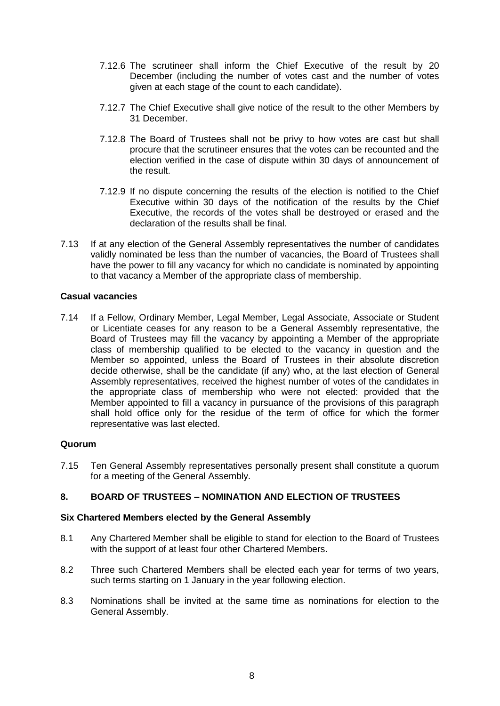- 7.12.6 The scrutineer shall inform the Chief Executive of the result by 20 December (including the number of votes cast and the number of votes given at each stage of the count to each candidate).
- 7.12.7 The Chief Executive shall give notice of the result to the other Members by 31 December.
- 7.12.8 The Board of Trustees shall not be privy to how votes are cast but shall procure that the scrutineer ensures that the votes can be recounted and the election verified in the case of dispute within 30 days of announcement of the result.
- 7.12.9 If no dispute concerning the results of the election is notified to the Chief Executive within 30 days of the notification of the results by the Chief Executive, the records of the votes shall be destroyed or erased and the declaration of the results shall be final.
- 7.13 If at any election of the General Assembly representatives the number of candidates validly nominated be less than the number of vacancies, the Board of Trustees shall have the power to fill any vacancy for which no candidate is nominated by appointing to that vacancy a Member of the appropriate class of membership.

### **Casual vacancies**

7.14 If a Fellow, Ordinary Member, Legal Member, Legal Associate, Associate or Student or Licentiate ceases for any reason to be a General Assembly representative, the Board of Trustees may fill the vacancy by appointing a Member of the appropriate class of membership qualified to be elected to the vacancy in question and the Member so appointed, unless the Board of Trustees in their absolute discretion decide otherwise, shall be the candidate (if any) who, at the last election of General Assembly representatives, received the highest number of votes of the candidates in the appropriate class of membership who were not elected: provided that the Member appointed to fill a vacancy in pursuance of the provisions of this paragraph shall hold office only for the residue of the term of office for which the former representative was last elected.

#### **Quorum**

7.15 Ten General Assembly representatives personally present shall constitute a quorum for a meeting of the General Assembly.

## **8. BOARD OF TRUSTEES – NOMINATION AND ELECTION OF TRUSTEES**

#### **Six Chartered Members elected by the General Assembly**

- 8.1 Any Chartered Member shall be eligible to stand for election to the Board of Trustees with the support of at least four other Chartered Members.
- 8.2 Three such Chartered Members shall be elected each year for terms of two years, such terms starting on 1 January in the year following election.
- 8.3 Nominations shall be invited at the same time as nominations for election to the General Assembly.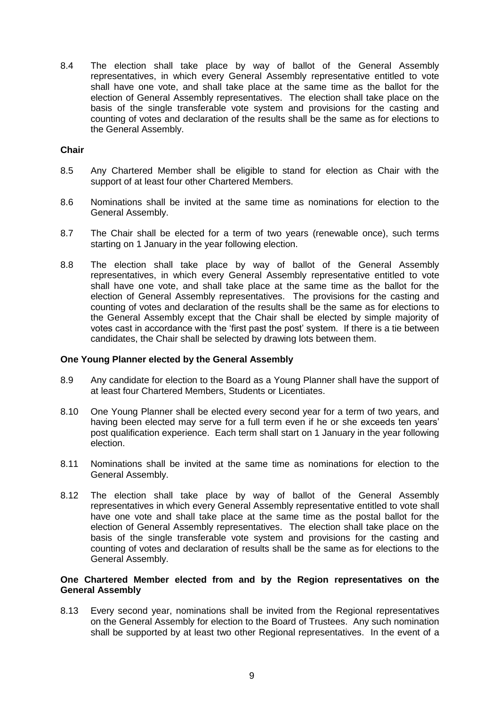8.4 The election shall take place by way of ballot of the General Assembly representatives, in which every General Assembly representative entitled to vote shall have one vote, and shall take place at the same time as the ballot for the election of General Assembly representatives. The election shall take place on the basis of the single transferable vote system and provisions for the casting and counting of votes and declaration of the results shall be the same as for elections to the General Assembly.

### **Chair**

- 8.5 Any Chartered Member shall be eligible to stand for election as Chair with the support of at least four other Chartered Members.
- 8.6 Nominations shall be invited at the same time as nominations for election to the General Assembly.
- 8.7 The Chair shall be elected for a term of two years (renewable once), such terms starting on 1 January in the year following election.
- 8.8 The election shall take place by way of ballot of the General Assembly representatives, in which every General Assembly representative entitled to vote shall have one vote, and shall take place at the same time as the ballot for the election of General Assembly representatives. The provisions for the casting and counting of votes and declaration of the results shall be the same as for elections to the General Assembly except that the Chair shall be elected by simple majority of votes cast in accordance with the 'first past the post' system. If there is a tie between candidates, the Chair shall be selected by drawing lots between them.

#### **One Young Planner elected by the General Assembly**

- 8.9 Any candidate for election to the Board as a Young Planner shall have the support of at least four Chartered Members, Students or Licentiates.
- 8.10 One Young Planner shall be elected every second year for a term of two years, and having been elected may serve for a full term even if he or she exceeds ten years' post qualification experience. Each term shall start on 1 January in the year following election.
- 8.11 Nominations shall be invited at the same time as nominations for election to the General Assembly.
- 8.12 The election shall take place by way of ballot of the General Assembly representatives in which every General Assembly representative entitled to vote shall have one vote and shall take place at the same time as the postal ballot for the election of General Assembly representatives. The election shall take place on the basis of the single transferable vote system and provisions for the casting and counting of votes and declaration of results shall be the same as for elections to the General Assembly.

### **One Chartered Member elected from and by the Region representatives on the General Assembly**

8.13 Every second year, nominations shall be invited from the Regional representatives on the General Assembly for election to the Board of Trustees. Any such nomination shall be supported by at least two other Regional representatives. In the event of a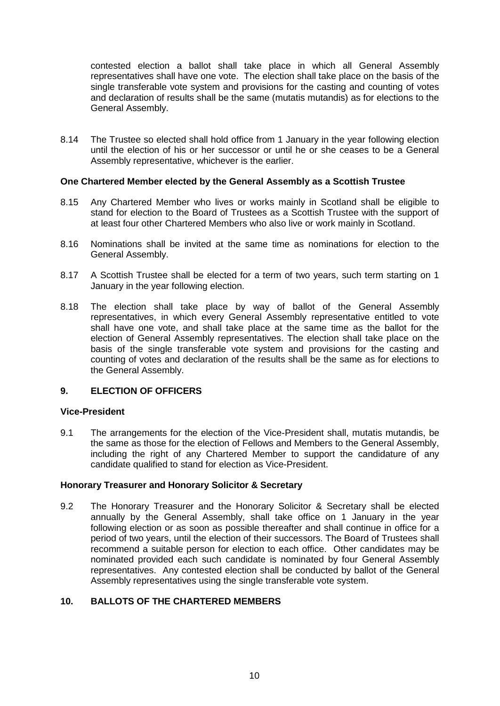contested election a ballot shall take place in which all General Assembly representatives shall have one vote. The election shall take place on the basis of the single transferable vote system and provisions for the casting and counting of votes and declaration of results shall be the same (mutatis mutandis) as for elections to the General Assembly.

8.14 The Trustee so elected shall hold office from 1 January in the year following election until the election of his or her successor or until he or she ceases to be a General Assembly representative, whichever is the earlier.

### **One Chartered Member elected by the General Assembly as a Scottish Trustee**

- 8.15 Any Chartered Member who lives or works mainly in Scotland shall be eligible to stand for election to the Board of Trustees as a Scottish Trustee with the support of at least four other Chartered Members who also live or work mainly in Scotland.
- 8.16 Nominations shall be invited at the same time as nominations for election to the General Assembly.
- 8.17 A Scottish Trustee shall be elected for a term of two years, such term starting on 1 January in the year following election.
- 8.18 The election shall take place by way of ballot of the General Assembly representatives, in which every General Assembly representative entitled to vote shall have one vote, and shall take place at the same time as the ballot for the election of General Assembly representatives. The election shall take place on the basis of the single transferable vote system and provisions for the casting and counting of votes and declaration of the results shall be the same as for elections to the General Assembly.

## **9. ELECTION OF OFFICERS**

#### **Vice-President**

9.1 The arrangements for the election of the Vice-President shall, mutatis mutandis, be the same as those for the election of Fellows and Members to the General Assembly, including the right of any Chartered Member to support the candidature of any candidate qualified to stand for election as Vice-President.

#### **Honorary Treasurer and Honorary Solicitor & Secretary**

9.2 The Honorary Treasurer and the Honorary Solicitor & Secretary shall be elected annually by the General Assembly, shall take office on 1 January in the year following election or as soon as possible thereafter and shall continue in office for a period of two years, until the election of their successors. The Board of Trustees shall recommend a suitable person for election to each office. Other candidates may be nominated provided each such candidate is nominated by four General Assembly representatives. Any contested election shall be conducted by ballot of the General Assembly representatives using the single transferable vote system.

# **10. BALLOTS OF THE CHARTERED MEMBERS**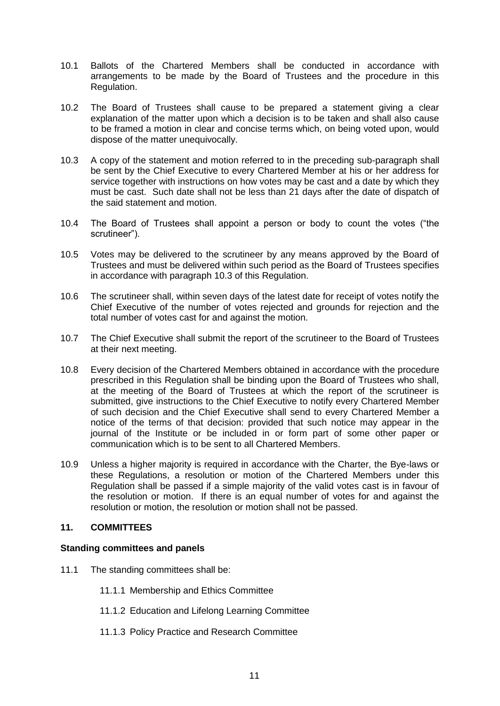- 10.1 Ballots of the Chartered Members shall be conducted in accordance with arrangements to be made by the Board of Trustees and the procedure in this Regulation.
- 10.2 The Board of Trustees shall cause to be prepared a statement giving a clear explanation of the matter upon which a decision is to be taken and shall also cause to be framed a motion in clear and concise terms which, on being voted upon, would dispose of the matter unequivocally.
- 10.3 A copy of the statement and motion referred to in the preceding sub-paragraph shall be sent by the Chief Executive to every Chartered Member at his or her address for service together with instructions on how votes may be cast and a date by which they must be cast. Such date shall not be less than 21 days after the date of dispatch of the said statement and motion.
- 10.4 The Board of Trustees shall appoint a person or body to count the votes ("the scrutineer").
- 10.5 Votes may be delivered to the scrutineer by any means approved by the Board of Trustees and must be delivered within such period as the Board of Trustees specifies in accordance with paragraph 10.3 of this Regulation.
- 10.6 The scrutineer shall, within seven days of the latest date for receipt of votes notify the Chief Executive of the number of votes rejected and grounds for rejection and the total number of votes cast for and against the motion.
- 10.7 The Chief Executive shall submit the report of the scrutineer to the Board of Trustees at their next meeting.
- 10.8 Every decision of the Chartered Members obtained in accordance with the procedure prescribed in this Regulation shall be binding upon the Board of Trustees who shall, at the meeting of the Board of Trustees at which the report of the scrutineer is submitted, give instructions to the Chief Executive to notify every Chartered Member of such decision and the Chief Executive shall send to every Chartered Member a notice of the terms of that decision: provided that such notice may appear in the journal of the Institute or be included in or form part of some other paper or communication which is to be sent to all Chartered Members.
- 10.9 Unless a higher majority is required in accordance with the Charter, the Bye-laws or these Regulations, a resolution or motion of the Chartered Members under this Regulation shall be passed if a simple majority of the valid votes cast is in favour of the resolution or motion. If there is an equal number of votes for and against the resolution or motion, the resolution or motion shall not be passed.

## **11. COMMITTEES**

#### **Standing committees and panels**

- 11.1 The standing committees shall be:
	- 11.1.1 Membership and Ethics Committee
	- 11.1.2 Education and Lifelong Learning Committee
	- 11.1.3 Policy Practice and Research Committee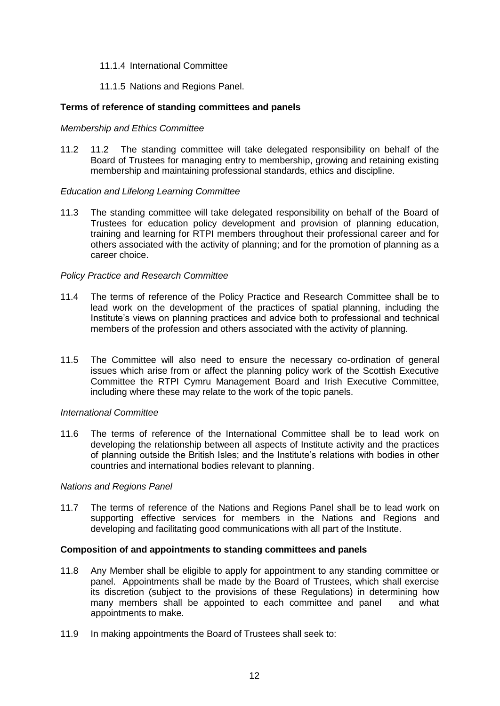### 11.1.4 International Committee

### 11.1.5 Nations and Regions Panel.

### **Terms of reference of standing committees and panels**

### *Membership and Ethics Committee*

11.2 11.2 The standing committee will take delegated responsibility on behalf of the Board of Trustees for managing entry to membership, growing and retaining existing membership and maintaining professional standards, ethics and discipline.

### *Education and Lifelong Learning Committee*

11.3 The standing committee will take delegated responsibility on behalf of the Board of Trustees for education policy development and provision of planning education, training and learning for RTPI members throughout their professional career and for others associated with the activity of planning; and for the promotion of planning as a career choice.

### *Policy Practice and Research Committee*

- 11.4 The terms of reference of the Policy Practice and Research Committee shall be to lead work on the development of the practices of spatial planning, including the Institute's views on planning practices and advice both to professional and technical members of the profession and others associated with the activity of planning.
- 11.5 The Committee will also need to ensure the necessary co-ordination of general issues which arise from or affect the planning policy work of the Scottish Executive Committee the RTPI Cymru Management Board and Irish Executive Committee, including where these may relate to the work of the topic panels.

#### *International Committee*

11.6 The terms of reference of the International Committee shall be to lead work on developing the relationship between all aspects of Institute activity and the practices of planning outside the British Isles; and the Institute's relations with bodies in other countries and international bodies relevant to planning.

#### *Nations and Regions Panel*

11.7 The terms of reference of the Nations and Regions Panel shall be to lead work on supporting effective services for members in the Nations and Regions and developing and facilitating good communications with all part of the Institute.

#### **Composition of and appointments to standing committees and panels**

- 11.8 Any Member shall be eligible to apply for appointment to any standing committee or panel. Appointments shall be made by the Board of Trustees, which shall exercise its discretion (subject to the provisions of these Regulations) in determining how many members shall be appointed to each committee and panel and what appointments to make.
- 11.9 In making appointments the Board of Trustees shall seek to: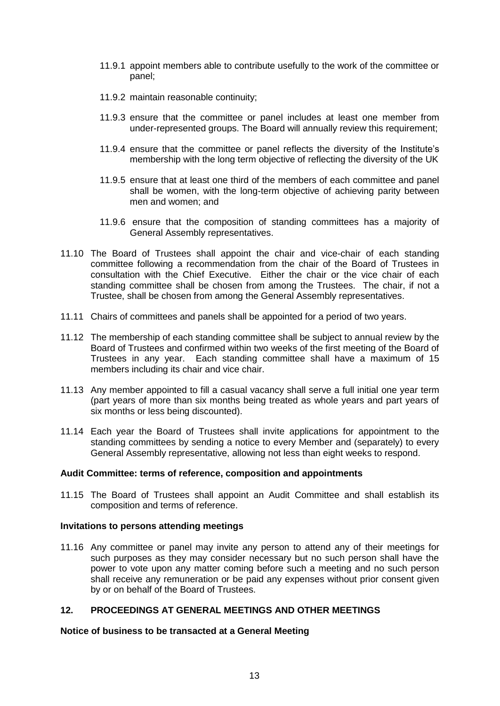- 11.9.1 appoint members able to contribute usefully to the work of the committee or panel;
- 11.9.2 maintain reasonable continuity;
- 11.9.3 ensure that the committee or panel includes at least one member from under-represented groups. The Board will annually review this requirement;
- 11.9.4 ensure that the committee or panel reflects the diversity of the Institute's membership with the long term objective of reflecting the diversity of the UK
- 11.9.5 ensure that at least one third of the members of each committee and panel shall be women, with the long-term objective of achieving parity between men and women; and
- 11.9.6 ensure that the composition of standing committees has a majority of General Assembly representatives.
- 11.10 The Board of Trustees shall appoint the chair and vice-chair of each standing committee following a recommendation from the chair of the Board of Trustees in consultation with the Chief Executive. Either the chair or the vice chair of each standing committee shall be chosen from among the Trustees. The chair, if not a Trustee, shall be chosen from among the General Assembly representatives.
- 11.11 Chairs of committees and panels shall be appointed for a period of two years.
- 11.12 The membership of each standing committee shall be subject to annual review by the Board of Trustees and confirmed within two weeks of the first meeting of the Board of Trustees in any year. Each standing committee shall have a maximum of 15 members including its chair and vice chair.
- 11.13 Any member appointed to fill a casual vacancy shall serve a full initial one year term (part years of more than six months being treated as whole years and part years of six months or less being discounted).
- 11.14 Each year the Board of Trustees shall invite applications for appointment to the standing committees by sending a notice to every Member and (separately) to every General Assembly representative, allowing not less than eight weeks to respond.

#### **Audit Committee: terms of reference, composition and appointments**

11.15 The Board of Trustees shall appoint an Audit Committee and shall establish its composition and terms of reference.

#### **Invitations to persons attending meetings**

11.16 Any committee or panel may invite any person to attend any of their meetings for such purposes as they may consider necessary but no such person shall have the power to vote upon any matter coming before such a meeting and no such person shall receive any remuneration or be paid any expenses without prior consent given by or on behalf of the Board of Trustees.

# **12. PROCEEDINGS AT GENERAL MEETINGS AND OTHER MEETINGS**

#### **Notice of business to be transacted at a General Meeting**